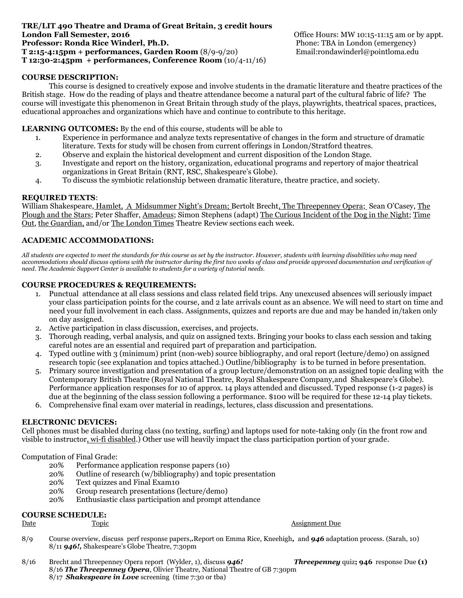#### **TRE/LIT 490 Theatre and Drama of Great Britain, 3 credit hours London Fall Semester, 2016 Condon Fall Semester, 2016 Condon Fall Semester, 2016 Professor: Ronda Rice Winderl, Ph.D. Phone: TBA in London (emergency) Phone: TBA in London (emergency) T 2:15-4:15pm + performances, Garden Room** (8/9-9/20) Email:rondawinderl@pointloma.edu **T 12:30-2:45pm + performances, Conference Room** (10/4-11/16)

# **COURSE DESCRIPTION:**

This course is designed to creatively expose and involve students in the dramatic literature and theatre practices of the British stage. How do the reading of plays and theatre attendance become a natural part of the cultural fabric of life? The course will investigate this phenomenon in Great Britain through study of the plays, playwrights, theatrical spaces, practices, educational approaches and organizations which have and continue to contribute to this heritage.

# **LEARNING OUTCOMES:** By the end of this course, students will be able to

- 1. Experience in performance and analyze texts representative of changes in the form and structure of dramatic literature. Texts for study will be chosen from current offerings in London/Stratford theatres.
- 2. Observe and explain the historical development and current disposition of the London Stage.
- 3. Investigate and report on the history, organization, educational programs and repertory of major theatrical organizations in Great Britain (RNT, RSC, Shakespeare's Globe).
- 4. To discuss the symbiotic relationship between dramatic literature, theatre practice, and society.

#### **REQUIRED TEXTS**:

William Shakespeare, Hamlet, A Midsummer Night's Dream; Bertolt Brecht, The Threepenney Opera; Sean O'Casey, The Plough and the Stars; Peter Shaffer, Amadeus; Simon Stephens (adapt) The Curious Incident of the Dog in the Night; Time Out, the Guardian, and/or The London Times Theatre Review sections each week.

## **ACADEMIC ACCOMMODATIONS:**

*All students are expected to meet the standards for this course as set by the instructor. However, students with learning disabilities who may need accommodations should discuss options with the instructor during the first two weeks of class and provide approved documentation and verification of need. The Academic Support Center is available to students for a variety of tutorial needs.*

## **COURSE PROCEDURES & REQUIREMENTS:**

- 1. Punctual attendance at all class sessions and class related field trips. Any unexcused absences will seriously impact your class participation points for the course, and 2 late arrivals count as an absence. We will need to start on time and need your full involvement in each class. Assignments, quizzes and reports are due and may be handed in/taken only on day assigned.
- 2. Active participation in class discussion, exercises, and projects.
- 3. Thorough reading, verbal analysis, and quiz on assigned texts. Bringing your books to class each session and taking careful notes are an essential and required part of preparation and participation.
- 4. Typed outline with 3 (minimum) print (non-web) source bibliography, and oral report (lecture/demo) on assigned research topic (see explanation and topics attached.) Outline/bibliography is to be turned in before presentation.
- 5. Primary source investigation and presentation of a group lecture/demonstration on an assigned topic dealing with the Contemporary British Theatre (Royal National Theatre, Royal Shakespeare Company,and Shakespeare's Globe). Performance application responses for 10 of approx. 14 plays attended and discussed. Typed response (1-2 pages) is due at the beginning of the class session following a performance. \$100 will be required for these 12-14 play tickets.
- 6. Comprehensive final exam over material in readings, lectures, class discussion and presentations.

#### **ELECTRONIC DEVICES:**

Cell phones must be disabled during class (no texting, surfing) and laptops used for note-taking only (in the front row and visible to instructor, wi-fi disabled.) Other use will heavily impact the class participation portion of your grade.

Computation of Final Grade:

- 20% Performance application response papers (10)
- 20% Outline of research (w/bibliography) and topic presentation
- 20% Text quizzes and Final Exam10
- 20% Group research presentations (lecture/demo)
- 20% Enthusiastic class participation and prompt attendance

# **COURSE SCHEDULE:**

#### **Date** Topic **The Topic Contract Contract Assignment Due**

- 8/9 Course overview, discuss perf response papers,*.*Report on Emma Rice, Kneehigh*,* and *946* adaptation process. (Sarah, 10) 8/11 *946!,* Shakespeare's Globe Theatre, 7:30pm
- 8/16 Brecht and Threepenney Opera report (Wylder, 1), discuss *946! Threepenney* quiz**; 946** response Due **(1)** 8/16 *The Threepenney Opera*, Olivier Theatre, National Theatre of GB 7:30pm 8/17 *Shakespeare in Love* screening (time 7:30 or tba)